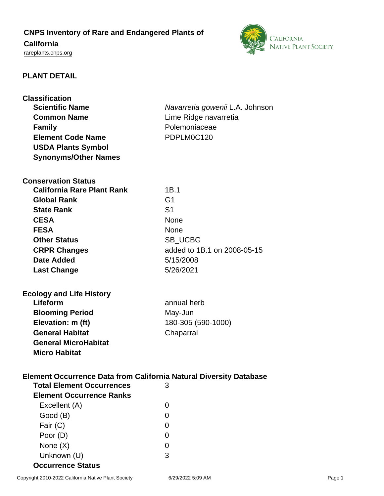# **CNPS Inventory of Rare and Endangered Plants of California**



<rareplants.cnps.org>

# **PLANT DETAIL**

| <b>Classification</b>                                                     |                                 |  |
|---------------------------------------------------------------------------|---------------------------------|--|
| <b>Scientific Name</b>                                                    | Navarretia gowenii L.A. Johnson |  |
| <b>Common Name</b>                                                        | Lime Ridge navarretia           |  |
| <b>Family</b>                                                             | Polemoniaceae                   |  |
| <b>Element Code Name</b>                                                  | PDPLM0C120                      |  |
| <b>USDA Plants Symbol</b>                                                 |                                 |  |
| <b>Synonyms/Other Names</b>                                               |                                 |  |
|                                                                           |                                 |  |
| <b>Conservation Status</b>                                                |                                 |  |
| <b>California Rare Plant Rank</b>                                         | 1B.1                            |  |
| <b>Global Rank</b>                                                        | G <sub>1</sub>                  |  |
| <b>State Rank</b>                                                         | S <sub>1</sub>                  |  |
| <b>CESA</b>                                                               | <b>None</b>                     |  |
| <b>FESA</b>                                                               | <b>None</b>                     |  |
| <b>Other Status</b>                                                       | SB_UCBG                         |  |
| <b>CRPR Changes</b>                                                       | added to 1B.1 on 2008-05-15     |  |
| Date Added                                                                | 5/15/2008                       |  |
|                                                                           | 5/26/2021                       |  |
| <b>Last Change</b>                                                        |                                 |  |
|                                                                           |                                 |  |
| <b>Ecology and Life History</b><br>Lifeform                               | annual herb                     |  |
|                                                                           |                                 |  |
| <b>Blooming Period</b>                                                    | May-Jun                         |  |
| Elevation: m (ft)                                                         | 180-305 (590-1000)              |  |
| <b>General Habitat</b>                                                    | Chaparral                       |  |
| <b>General MicroHabitat</b>                                               |                                 |  |
| <b>Micro Habitat</b>                                                      |                                 |  |
|                                                                           |                                 |  |
| <b>Element Occurrence Data from California Natural Diversity Database</b> |                                 |  |
| <b>Total Element Occurrences</b>                                          | 3                               |  |
| <b>Element Occurrence Ranks</b>                                           |                                 |  |
| Excellent (A)                                                             | 0                               |  |
| Good (B)                                                                  | 0                               |  |
| Fair (C)                                                                  | 0                               |  |
| Poor (D)                                                                  | 0                               |  |
| None $(X)$                                                                | 0                               |  |
| Unknown (U)                                                               | 3                               |  |
| <b>Occurrence Status</b>                                                  |                                 |  |